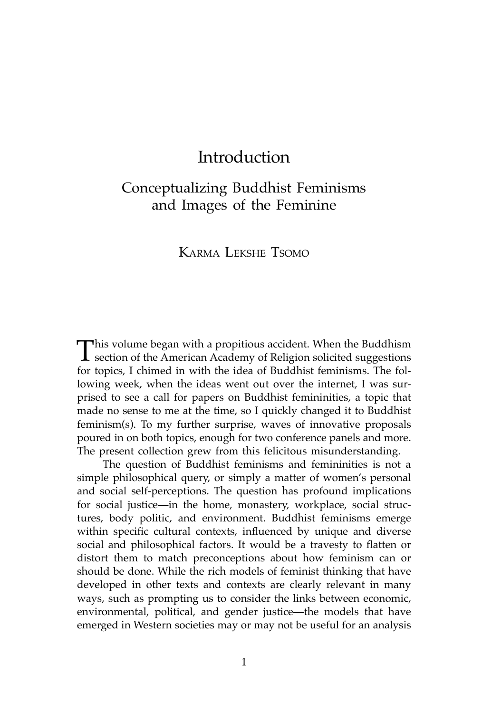# **Introduction**

# Conceptualizing Buddhist Feminisms and Images of the Feminine

## KARMA LEKSHE TSOMO

This volume began with a propitious accident. When the Buddhism section of the American Academy of Religion solicited suggestions for topics, I chimed in with the idea of Buddhist feminisms. The following week, when the ideas went out over the internet, I was surprised to see a call for papers on Buddhist femininities, a topic that made no sense to me at the time, so I quickly changed it to Buddhist feminism(s). To my further surprise, waves of innovative proposals poured in on both topics, enough for two conference panels and more. The present collection grew from this felicitous misunderstanding.

The question of Buddhist feminisms and femininities is not a simple philosophical query, or simply a matter of women's personal and social self-perceptions. The question has profound implications for social justice—in the home, monastery, workplace, social structures, body politic, and environment. Buddhist feminisms emerge within specific cultural contexts, influenced by unique and diverse social and philosophical factors. It would be a travesty to flatten or distort them to match preconceptions about how feminism can or should be done. While the rich models of feminist thinking that have developed in other texts and contexts are clearly relevant in many ways, such as prompting us to consider the links between economic, environmental, political, and gender justice—the models that have emerged in Western societies may or may not be useful for an analysis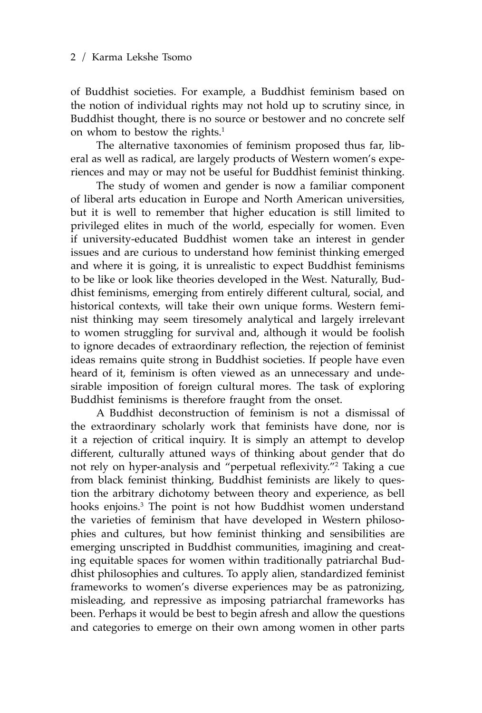of Buddhist societies. For example, a Buddhist feminism based on the notion of individual rights may not hold up to scrutiny since, in Buddhist thought, there is no source or bestower and no concrete self on whom to bestow the rights.<sup>1</sup>

The alternative taxonomies of feminism proposed thus far, liberal as well as radical, are largely products of Western women's experiences and may or may not be useful for Buddhist feminist thinking.

The study of women and gender is now a familiar component of liberal arts education in Europe and North American universities, but it is well to remember that higher education is still limited to privileged elites in much of the world, especially for women. Even if university-educated Buddhist women take an interest in gender issues and are curious to understand how feminist thinking emerged and where it is going, it is unrealistic to expect Buddhist feminisms to be like or look like theories developed in the West. Naturally, Buddhist feminisms, emerging from entirely different cultural, social, and historical contexts, will take their own unique forms. Western feminist thinking may seem tiresomely analytical and largely irrelevant to women struggling for survival and, although it would be foolish to ignore decades of extraordinary reflection, the rejection of feminist ideas remains quite strong in Buddhist societies. If people have even heard of it, feminism is often viewed as an unnecessary and undesirable imposition of foreign cultural mores. The task of exploring Buddhist feminisms is therefore fraught from the onset.

A Buddhist deconstruction of feminism is not a dismissal of the extraordinary scholarly work that feminists have done, nor is it a rejection of critical inquiry. It is simply an attempt to develop different, culturally attuned ways of thinking about gender that do not rely on hyper-analysis and "perpetual reflexivity."<sup>2</sup> Taking a cue from black feminist thinking, Buddhist feminists are likely to question the arbitrary dichotomy between theory and experience, as bell hooks enjoins.3 The point is not how Buddhist women understand the varieties of feminism that have developed in Western philosophies and cultures, but how feminist thinking and sensibilities are emerging unscripted in Buddhist communities, imagining and creating equitable spaces for women within traditionally patriarchal Buddhist philosophies and cultures. To apply alien, standardized feminist frameworks to women's diverse experiences may be as patronizing, misleading, and repressive as imposing patriarchal frameworks has been. Perhaps it would be best to begin afresh and allow the questions and categories to emerge on their own among women in other parts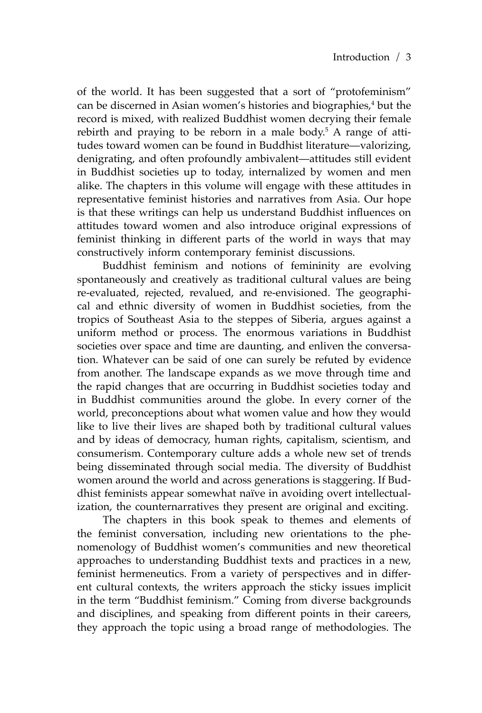of the world. It has been suggested that a sort of "protofeminism" can be discerned in Asian women's histories and biographies,<sup>4</sup> but the record is mixed, with realized Buddhist women decrying their female rebirth and praying to be reborn in a male body.<sup>5</sup> A range of attitudes toward women can be found in Buddhist literature—valorizing, denigrating, and often profoundly ambivalent—attitudes still evident in Buddhist societies up to today, internalized by women and men alike. The chapters in this volume will engage with these attitudes in representative feminist histories and narratives from Asia. Our hope is that these writings can help us understand Buddhist influences on attitudes toward women and also introduce original expressions of feminist thinking in different parts of the world in ways that may constructively inform contemporary feminist discussions.

Buddhist feminism and notions of femininity are evolving spontaneously and creatively as traditional cultural values are being re-evaluated, rejected, revalued, and re-envisioned. The geographical and ethnic diversity of women in Buddhist societies, from the tropics of Southeast Asia to the steppes of Siberia, argues against a uniform method or process. The enormous variations in Buddhist societies over space and time are daunting, and enliven the conversation. Whatever can be said of one can surely be refuted by evidence from another. The landscape expands as we move through time and the rapid changes that are occurring in Buddhist societies today and in Buddhist communities around the globe. In every corner of the world, preconceptions about what women value and how they would like to live their lives are shaped both by traditional cultural values and by ideas of democracy, human rights, capitalism, scientism, and consumerism. Contemporary culture adds a whole new set of trends being disseminated through social media. The diversity of Buddhist women around the world and across generations is staggering. If Buddhist feminists appear somewhat naïve in avoiding overt intellectualization, the counternarratives they present are original and exciting.

The chapters in this book speak to themes and elements of the feminist conversation, including new orientations to the phenomenology of Buddhist women's communities and new theoretical approaches to understanding Buddhist texts and practices in a new, feminist hermeneutics. From a variety of perspectives and in different cultural contexts, the writers approach the sticky issues implicit in the term "Buddhist feminism." Coming from diverse backgrounds and disciplines, and speaking from different points in their careers, they approach the topic using a broad range of methodologies. The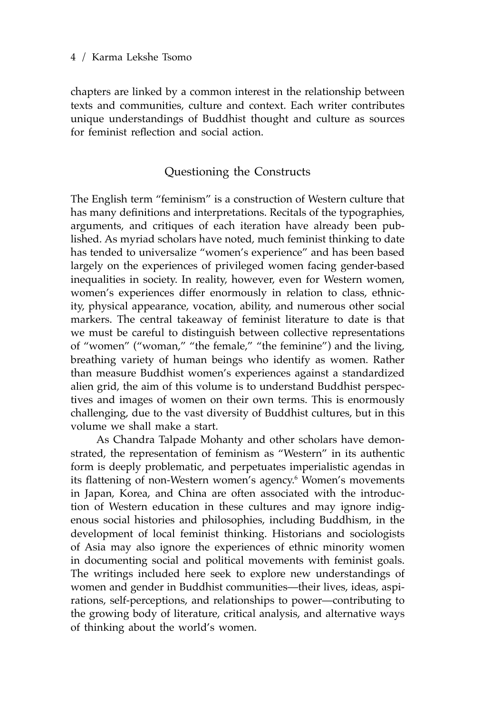chapters are linked by a common interest in the relationship between texts and communities, culture and context. Each writer contributes unique understandings of Buddhist thought and culture as sources for feminist reflection and social action.

## Questioning the Constructs

The English term "feminism" is a construction of Western culture that has many definitions and interpretations. Recitals of the typographies, arguments, and critiques of each iteration have already been published. As myriad scholars have noted, much feminist thinking to date has tended to universalize "women's experience" and has been based largely on the experiences of privileged women facing gender-based inequalities in society. In reality, however, even for Western women, women's experiences differ enormously in relation to class, ethnicity, physical appearance, vocation, ability, and numerous other social markers. The central takeaway of feminist literature to date is that we must be careful to distinguish between collective representations of "women" ("woman," "the female," "the feminine") and the living, breathing variety of human beings who identify as women. Rather than measure Buddhist women's experiences against a standardized alien grid, the aim of this volume is to understand Buddhist perspectives and images of women on their own terms. This is enormously challenging, due to the vast diversity of Buddhist cultures, but in this volume we shall make a start.

As Chandra Talpade Mohanty and other scholars have demonstrated, the representation of feminism as "Western" in its authentic form is deeply problematic, and perpetuates imperialistic agendas in its flattening of non-Western women's agency.<sup>6</sup> Women's movements in Japan, Korea, and China are often associated with the introduction of Western education in these cultures and may ignore indigenous social histories and philosophies, including Buddhism, in the development of local feminist thinking. Historians and sociologists of Asia may also ignore the experiences of ethnic minority women in documenting social and political movements with feminist goals. The writings included here seek to explore new understandings of women and gender in Buddhist communities—their lives, ideas, aspirations, self-perceptions, and relationships to power—contributing to the growing body of literature, critical analysis, and alternative ways of thinking about the world's women.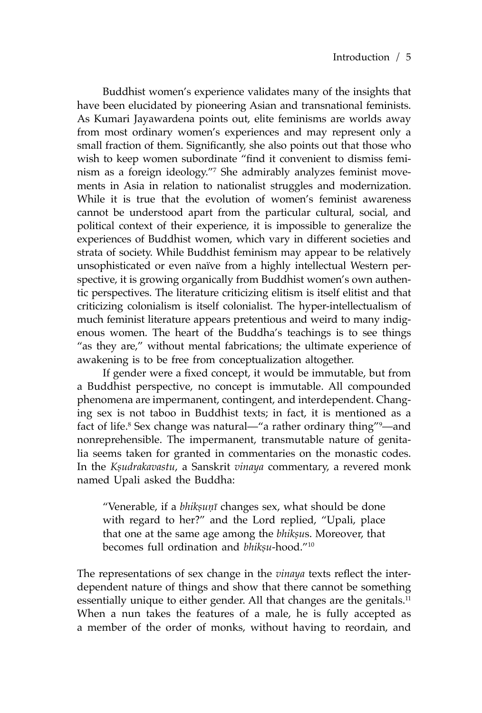Buddhist women's experience validates many of the insights that have been elucidated by pioneering Asian and transnational feminists. As Kumari Jayawardena points out, elite feminisms are worlds away from most ordinary women's experiences and may represent only a small fraction of them. Significantly, she also points out that those who wish to keep women subordinate "find it convenient to dismiss feminism as a foreign ideology."<sup>7</sup> She admirably analyzes feminist movements in Asia in relation to nationalist struggles and modernization. While it is true that the evolution of women's feminist awareness cannot be understood apart from the particular cultural, social, and political context of their experience, it is impossible to generalize the experiences of Buddhist women, which vary in different societies and strata of society. While Buddhist feminism may appear to be relatively unsophisticated or even naïve from a highly intellectual Western perspective, it is growing organically from Buddhist women's own authentic perspectives. The literature criticizing elitism is itself elitist and that criticizing colonialism is itself colonialist. The hyper-intellectualism of much feminist literature appears pretentious and weird to many indigenous women. The heart of the Buddha's teachings is to see things "as they are," without mental fabrications; the ultimate experience of awakening is to be free from conceptualization altogether.

If gender were a fixed concept, it would be immutable, but from a Buddhist perspective, no concept is immutable. All compounded phenomena are impermanent, contingent, and interdependent. Changing sex is not taboo in Buddhist texts; in fact, it is mentioned as a fact of life.<sup>8</sup> Sex change was natural—"a rather ordinary thing"<sup>9</sup>—and nonreprehensible. The impermanent, transmutable nature of genitalia seems taken for granted in commentaries on the monastic codes. In the *Ksudrakavastu,* a Sanskrit *vinaya* commentary, a revered monk named Upali asked the Buddha:

"Venerable, if a *bhikṣuṇ*ī changes sex, what should be done with regard to her?" and the Lord replied, "Upali, place that one at the same age among the *bhik*sus. Moreover, that becomes full ordination and *bhiksu*-hood."<sup>10</sup>

The representations of sex change in the *vinaya* texts reflect the interdependent nature of things and show that there cannot be something essentially unique to either gender. All that changes are the genitals.<sup>11</sup> When a nun takes the features of a male, he is fully accepted as a member of the order of monks, without having to reordain, and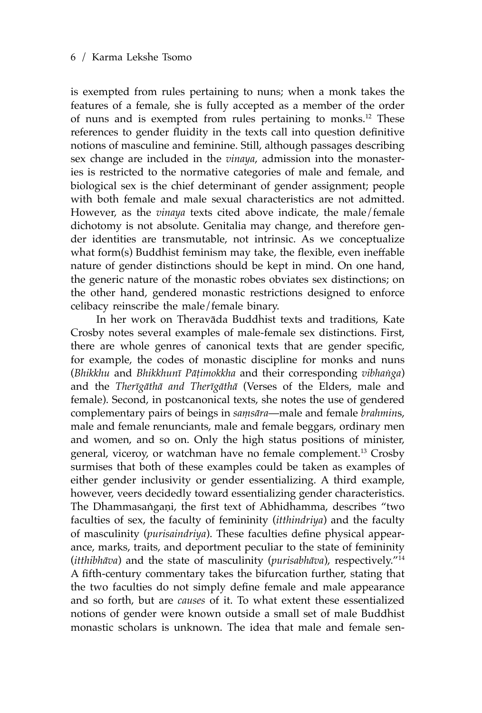is exempted from rules pertaining to nuns; when a monk takes the features of a female, she is fully accepted as a member of the order of nuns and is exempted from rules pertaining to monks.<sup>12</sup> These references to gender fluidity in the texts call into question definitive notions of masculine and feminine. Still, although passages describing sex change are included in the *vinaya*, admission into the monasteries is restricted to the normative categories of male and female, and biological sex is the chief determinant of gender assignment; people with both female and male sexual characteristics are not admitted. However, as the *vinaya* texts cited above indicate, the male/female dichotomy is not absolute. Genitalia may change, and therefore gender identities are transmutable, not intrinsic. As we conceptualize what form(s) Buddhist feminism may take, the flexible, even ineffable nature of gender distinctions should be kept in mind. On one hand, the generic nature of the monastic robes obviates sex distinctions; on the other hand, gendered monastic restrictions designed to enforce celibacy reinscribe the male/female binary.

In her work on Theravāda Buddhist texts and traditions, Kate Crosby notes several examples of male-female sex distinctions. First, there are whole genres of canonical texts that are gender specific, for example, the codes of monastic discipline for monks and nuns (Bhikkhu and *Bhikkhunī Pāṭimokkha* and their corresponding *vibhanga*) and the *Therīgāthā and Therīgāthā* (Verses of the Elders, male and female). Second, in postcanonical texts, she notes the use of gendered complementary pairs of beings in *samsāra*—male and female *brahmins*, male and female renunciants, male and female beggars, ordinary men and women, and so on. Only the high status positions of minister, general, viceroy, or watchman have no female complement.13 Crosby surmises that both of these examples could be taken as examples of either gender inclusivity or gender essentializing. A third example, however, veers decidedly toward essentializing gender characteristics. The Dhammasangani, the first text of Abhidhamma, describes "two faculties of sex, the faculty of femininity (*itthindriya*) and the faculty of masculinity (*purisaindriya*). These faculties define physical appearance, marks, traits, and deportment peculiar to the state of femininity (*itthibhāva*) and the state of masculinity (*purisabhāva*), respectively.<sup>714</sup> A fifth-century commentary takes the bifurcation further, stating that the two faculties do not simply define female and male appearance and so forth, but are *causes* of it. To what extent these essentialized notions of gender were known outside a small set of male Buddhist monastic scholars is unknown. The idea that male and female sen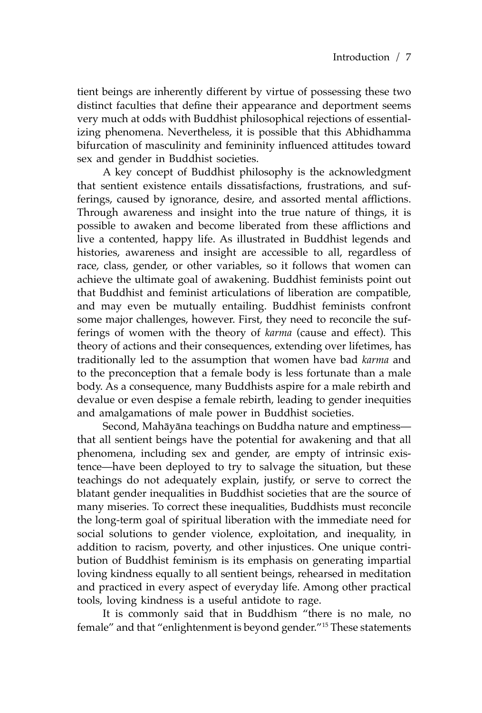tient beings are inherently different by virtue of possessing these two distinct faculties that define their appearance and deportment seems very much at odds with Buddhist philosophical rejections of essentializing phenomena. Nevertheless, it is possible that this Abhidhamma bifurcation of masculinity and femininity influenced attitudes toward sex and gender in Buddhist societies.

A key concept of Buddhist philosophy is the acknowledgment that sentient existence entails dissatisfactions, frustrations, and sufferings, caused by ignorance, desire, and assorted mental afflictions. Through awareness and insight into the true nature of things, it is possible to awaken and become liberated from these afflictions and live a contented, happy life. As illustrated in Buddhist legends and histories, awareness and insight are accessible to all, regardless of race, class, gender, or other variables, so it follows that women can achieve the ultimate goal of awakening. Buddhist feminists point out that Buddhist and feminist articulations of liberation are compatible, and may even be mutually entailing. Buddhist feminists confront some major challenges, however. First, they need to reconcile the sufferings of women with the theory of *karma* (cause and effect). This theory of actions and their consequences, extending over lifetimes, has traditionally led to the assumption that women have bad *karma* and to the preconception that a female body is less fortunate than a male body. As a consequence, many Buddhists aspire for a male rebirth and devalue or even despise a female rebirth, leading to gender inequities and amalgamations of male power in Buddhist societies.

Second, Mahāyāna teachings on Buddha nature and emptiness that all sentient beings have the potential for awakening and that all phenomena, including sex and gender, are empty of intrinsic existence—have been deployed to try to salvage the situation, but these teachings do not adequately explain, justify, or serve to correct the blatant gender inequalities in Buddhist societies that are the source of many miseries. To correct these inequalities, Buddhists must reconcile the long-term goal of spiritual liberation with the immediate need for social solutions to gender violence, exploitation, and inequality, in addition to racism, poverty, and other injustices. One unique contribution of Buddhist feminism is its emphasis on generating impartial loving kindness equally to all sentient beings, rehearsed in meditation and practiced in every aspect of everyday life. Among other practical tools, loving kindness is a useful antidote to rage.

It is commonly said that in Buddhism "there is no male, no female" and that "enlightenment is beyond gender."<sup>15</sup> These statements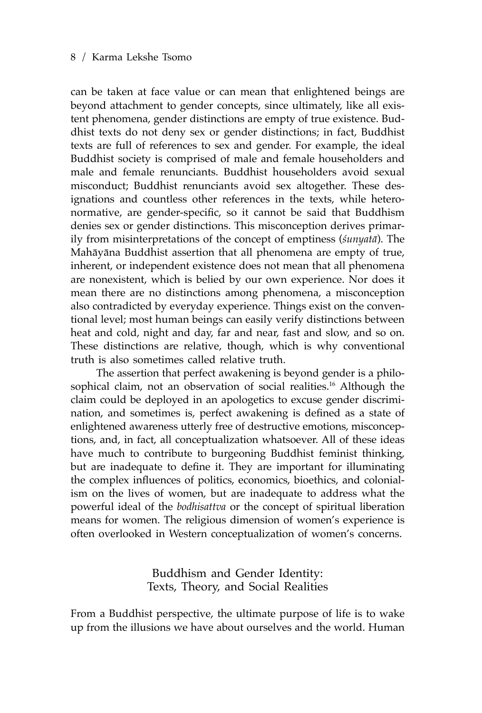can be taken at face value or can mean that enlightened beings are beyond attachment to gender concepts, since ultimately, like all existent phenomena, gender distinctions are empty of true existence. Buddhist texts do not deny sex or gender distinctions; in fact, Buddhist texts are full of references to sex and gender. For example, the ideal Buddhist society is comprised of male and female householders and male and female renunciants. Buddhist householders avoid sexual misconduct; Buddhist renunciants avoid sex altogether. These designations and countless other references in the texts, while heteronormative, are gender-specific, so it cannot be said that Buddhism denies sex or gender distinctions. This misconception derives primarily from misinterpretations of the concept of emptiness (*śunyatā*). The Mahāyāna Buddhist assertion that all phenomena are empty of true, inherent, or independent existence does not mean that all phenomena are nonexistent, which is belied by our own experience. Nor does it mean there are no distinctions among phenomena, a misconception also contradicted by everyday experience. Things exist on the conventional level; most human beings can easily verify distinctions between heat and cold, night and day, far and near, fast and slow, and so on. These distinctions are relative, though, which is why conventional truth is also sometimes called relative truth.

The assertion that perfect awakening is beyond gender is a philosophical claim, not an observation of social realities.<sup>16</sup> Although the claim could be deployed in an apologetics to excuse gender discrimination, and sometimes is, perfect awakening is defined as a state of enlightened awareness utterly free of destructive emotions, misconceptions, and, in fact, all conceptualization whatsoever. All of these ideas have much to contribute to burgeoning Buddhist feminist thinking, but are inadequate to define it. They are important for illuminating the complex influences of politics, economics, bioethics, and colonialism on the lives of women, but are inadequate to address what the powerful ideal of the *bodhisattva* or the concept of spiritual liberation means for women. The religious dimension of women's experience is often overlooked in Western conceptualization of women's concerns.

### Buddhism and Gender Identity: Texts, Theory, and Social Realities

From a Buddhist perspective, the ultimate purpose of life is to wake up from the illusions we have about ourselves and the world. Human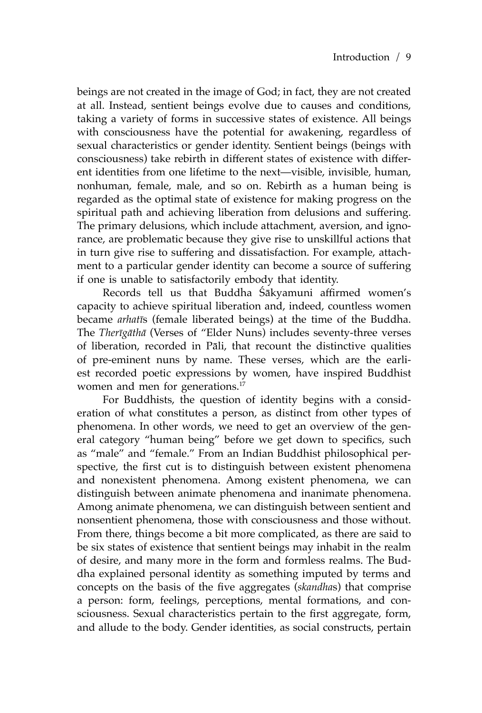beings are not created in the image of God; in fact, they are not created at all. Instead, sentient beings evolve due to causes and conditions, taking a variety of forms in successive states of existence. All beings with consciousness have the potential for awakening, regardless of sexual characteristics or gender identity. Sentient beings (beings with consciousness) take rebirth in different states of existence with different identities from one lifetime to the next—visible, invisible, human, nonhuman, female, male, and so on. Rebirth as a human being is regarded as the optimal state of existence for making progress on the spiritual path and achieving liberation from delusions and suffering. The primary delusions, which include attachment, aversion, and ignorance, are problematic because they give rise to unskillful actions that in turn give rise to suffering and dissatisfaction. For example, attachment to a particular gender identity can become a source of suffering if one is unable to satisfactorily embody that identity.

Records tell us that Buddha Śākyamuni affirmed women's capacity to achieve spiritual liberation and, indeed, countless women became *arhatīs* (female liberated beings) at the time of the Buddha. The *Therīgāthā* (Verses of "Elder Nuns) includes seventy-three verses of liberation, recorded in Pāli, that recount the distinctive qualities of pre-eminent nuns by name. These verses, which are the earliest recorded poetic expressions by women, have inspired Buddhist women and men for generations.<sup>17</sup>

For Buddhists, the question of identity begins with a consideration of what constitutes a person, as distinct from other types of phenomena. In other words, we need to get an overview of the general category "human being" before we get down to specifics, such as "male" and "female." From an Indian Buddhist philosophical perspective, the first cut is to distinguish between existent phenomena and nonexistent phenomena. Among existent phenomena, we can distinguish between animate phenomena and inanimate phenomena. Among animate phenomena, we can distinguish between sentient and nonsentient phenomena, those with consciousness and those without. From there, things become a bit more complicated, as there are said to be six states of existence that sentient beings may inhabit in the realm of desire, and many more in the form and formless realms. The Buddha explained personal identity as something imputed by terms and concepts on the basis of the five aggregates (skandhas) that comprise a person: form, feelings, perceptions, mental formations, and consciousness. Sexual characteristics pertain to the first aggregate, form, and allude to the body. Gender identities, as social constructs, pertain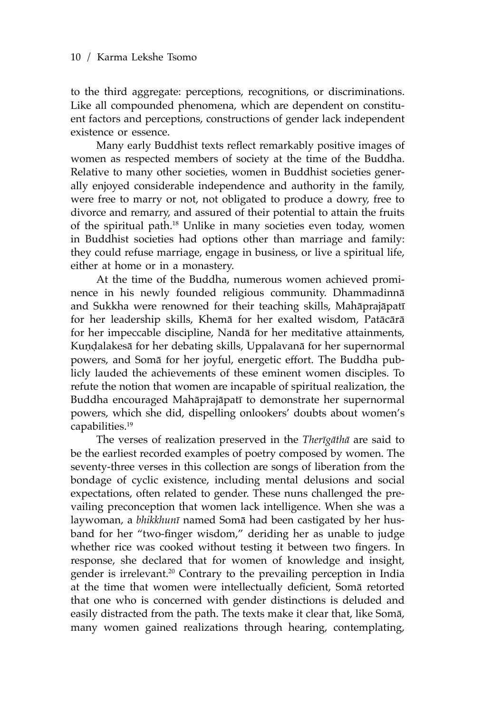to the third aggregate: perceptions, recognitions, or discriminations. Like all compounded phenomena, which are dependent on constituent factors and perceptions, constructions of gender lack independent existence or essence.

Many early Buddhist texts reflect remarkably positive images of women as respected members of society at the time of the Buddha. Relative to many other societies, women in Buddhist societies generally enjoyed considerable independence and authority in the family, were free to marry or not, not obligated to produce a dowry, free to divorce and remarry, and assured of their potential to attain the fruits of the spiritual path.<sup>18</sup> Unlike in many societies even today, women in Buddhist societies had options other than marriage and family: they could refuse marriage, engage in business, or live a spiritual life, either at home or in a monastery.

At the time of the Buddha, numerous women achieved prominence in his newly founded religious community. Dhammadinnā and Sukkha were renowned for their teaching skills, Mahāprajāpatī for her leadership skills, Khemā for her exalted wisdom, Patācārā for her impeccable discipline, Nandā for her meditative attainments, Kuņdalakesā for her debating skills, Uppalavanā for her supernormal powers, and Somā for her joyful, energetic effort. The Buddha publicly lauded the achievements of these eminent women disciples. To refute the notion that women are incapable of spiritual realization, the Buddha encouraged Mahāprajāpatī to demonstrate her supernormal powers, which she did, dispelling onlookers' doubts about women's capabilities.<sup>19</sup>

The verses of realization preserved in the Therīgāthā are said to be the earliest recorded examples of poetry composed by women. The seventy-three verses in this collection are songs of liberation from the bondage of cyclic existence, including mental delusions and social expectations, often related to gender. These nuns challenged the prevailing preconception that women lack intelligence. When she was a laywoman, a bhikkhunī named Somā had been castigated by her husband for her "two-finger wisdom," deriding her as unable to judge whether rice was cooked without testing it between two fingers. In response, she declared that for women of knowledge and insight, gender is irrelevant.<sup>20</sup> Contrary to the prevailing perception in India at the time that women were intellectually deficient, Somā retorted that one who is concerned with gender distinctions is deluded and easily distracted from the path. The texts make it clear that, like Somā, many women gained realizations through hearing, contemplating,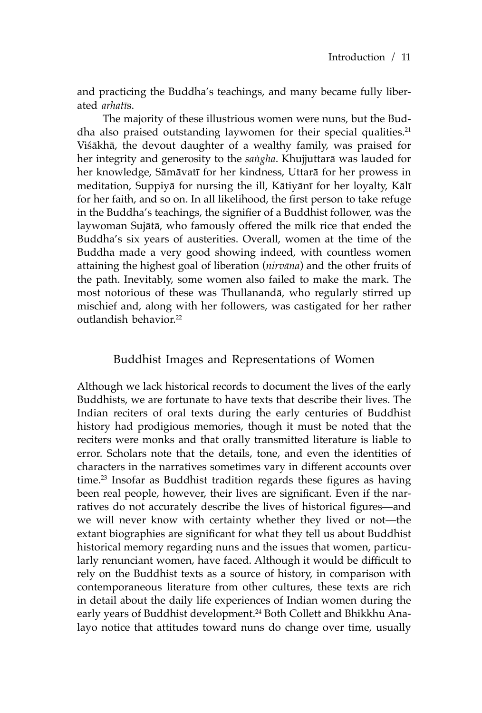and practicing the Buddha's teachings, and many became fully liberated arhatīs.

The majority of these illustrious women were nuns, but the Buddha also praised outstanding laywomen for their special qualities.<sup>21</sup> Viśākhā, the devout daughter of a wealthy family, was praised for her integrity and generosity to the sangha. Khujjuttarā was lauded for her knowledge, Sāmāvatī for her kindness, Uttarā for her prowess in meditation, Suppiyā for nursing the ill, Kātiyānī for her loyalty, Kālī for her faith, and so on. In all likelihood, the first person to take refuge in the Buddha's teachings, the signifier of a Buddhist follower, was the laywoman Sujātā, who famously offered the milk rice that ended the Buddha's six years of austerities. Overall, women at the time of the Buddha made a very good showing indeed, with countless women attaining the highest goal of liberation (nirvāna) and the other fruits of the path. Inevitably, some women also failed to make the mark. The most notorious of these was Thullanandā, who regularly stirred up mischief and, along with her followers, was castigated for her rather outlandish behavior<sup>22</sup>

## Buddhist Images and Representations of Women

Although we lack historical records to document the lives of the early Buddhists, we are fortunate to have texts that describe their lives. The Indian reciters of oral texts during the early centuries of Buddhist history had prodigious memories, though it must be noted that the reciters were monks and that orally transmitted literature is liable to error. Scholars note that the details, tone, and even the identities of characters in the narratives sometimes vary in different accounts over time.<sup>23</sup> Insofar as Buddhist tradition regards these figures as having been real people, however, their lives are significant. Even if the narratives do not accurately describe the lives of historical figures—and we will never know with certainty whether they lived or not-the extant biographies are significant for what they tell us about Buddhist historical memory regarding nuns and the issues that women, particularly renunciant women, have faced. Although it would be difficult to rely on the Buddhist texts as a source of history, in comparison with contemporaneous literature from other cultures, these texts are rich in detail about the daily life experiences of Indian women during the early years of Buddhist development.<sup>24</sup> Both Collett and Bhikkhu Analayo notice that attitudes toward nuns do change over time, usually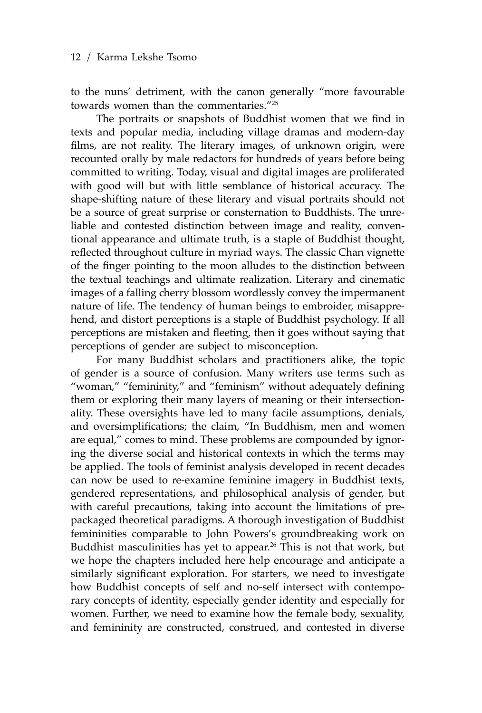to the nuns' detriment, with the canon generally "more favourable towards women than the commentaries."<sup>25</sup>

The portraits or snapshots of Buddhist women that we find in texts and popular media, including village dramas and modern-day films, are not reality. The literary images, of unknown origin, were recounted orally by male redactors for hundreds of years before being committed to writing. Today, visual and digital images are proliferated with good will but with little semblance of historical accuracy. The shape-shifting nature of these literary and visual portraits should not be a source of great surprise or consternation to Buddhists. The unreliable and contested distinction between image and reality, conventional appearance and ultimate truth, is a staple of Buddhist thought, reflected throughout culture in myriad ways. The classic Chan vignette of the finger pointing to the moon alludes to the distinction between the textual teachings and ultimate realization. Literary and cinematic images of a falling cherry blossom wordlessly convey the impermanent nature of life. The tendency of human beings to embroider, misapprehend, and distort perceptions is a staple of Buddhist psychology. If all perceptions are mistaken and fleeting, then it goes without saying that perceptions of gender are subject to misconception.

For many Buddhist scholars and practitioners alike, the topic of gender is a source of confusion. Many writers use terms such as "woman," "femininity," and "feminism" without adequately defining them or exploring their many layers of meaning or their intersectionality. These oversights have led to many facile assumptions, denials, and oversimplifications; the claim, "In Buddhism, men and women are equal," comes to mind. These problems are compounded by ignoring the diverse social and historical contexts in which the terms may be applied. The tools of feminist analysis developed in recent decades can now be used to re-examine feminine imagery in Buddhist texts, gendered representations, and philosophical analysis of gender, but with careful precautions, taking into account the limitations of prepackaged theoretical paradigms. A thorough investigation of Buddhist femininities comparable to John Powers's groundbreaking work on Buddhist masculinities has yet to appear.<sup>26</sup> This is not that work, but we hope the chapters included here help encourage and anticipate a similarly significant exploration. For starters, we need to investigate how Buddhist concepts of self and no-self intersect with contemporary concepts of identity, especially gender identity and especially for women. Further, we need to examine how the female body, sexuality, and femininity are constructed, construed, and contested in diverse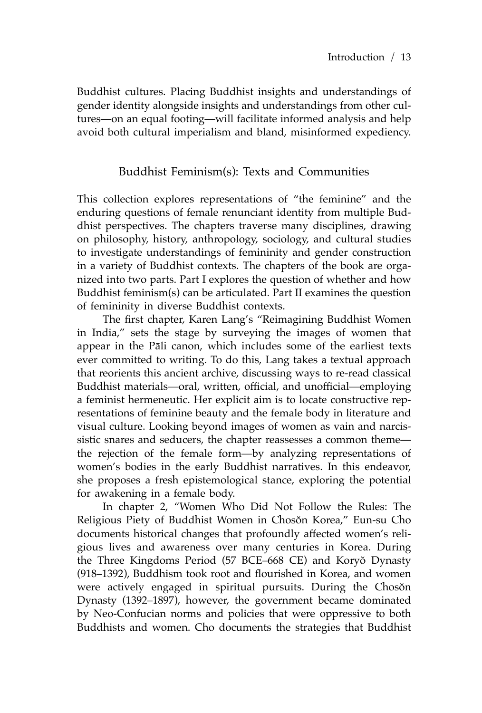Buddhist cultures. Placing Buddhist insights and understandings of gender identity alongside insights and understandings from other cultures—on an equal footing—will facilitate informed analysis and help avoid both cultural imperialism and bland, misinformed expediency.

## Buddhist Feminism(s): Texts and Communities

This collection explores representations of "the feminine" and the enduring questions of female renunciant identity from multiple Buddhist perspectives. The chapters traverse many disciplines, drawing on philosophy, history, anthropology, sociology, and cultural studies to investigate understandings of femininity and gender construction in a variety of Buddhist contexts. The chapters of the book are organized into two parts. Part I explores the question of whether and how Buddhist feminism(s) can be articulated. Part II examines the question of femininity in diverse Buddhist contexts.

The first chapter, Karen Lang's "Reimagining Buddhist Women in India," sets the stage by surveying the images of women that appear in the Pāli canon, which includes some of the earliest texts ever committed to writing. To do this, Lang takes a textual approach that reorients this ancient archive, discussing ways to re-read classical Buddhist materials—oral, written, official, and unofficial—employing a feminist hermeneutic. Her explicit aim is to locate constructive representations of feminine beauty and the female body in literature and visual culture. Looking beyond images of women as vain and narcissistic snares and seducers, the chapter reassesses a common themethe rejection of the female form-by analyzing representations of women's bodies in the early Buddhist narratives. In this endeavor, she proposes a fresh epistemological stance, exploring the potential for awakening in a female body.

In chapter 2, "Women Who Did Not Follow the Rules: The Religious Piety of Buddhist Women in Chosŏn Korea," Eun-su Cho documents historical changes that profoundly affected women's religious lives and awareness over many centuries in Korea. During the Three Kingdoms Period (57 BCE-668 CE) and Koryŏ Dynasty (918–1392), Buddhism took root and flourished in Korea, and women were actively engaged in spiritual pursuits. During the Chosŏn Dynasty (1392–1897), however, the government became dominated by Neo-Confucian norms and policies that were oppressive to both Buddhists and women. Cho documents the strategies that Buddhist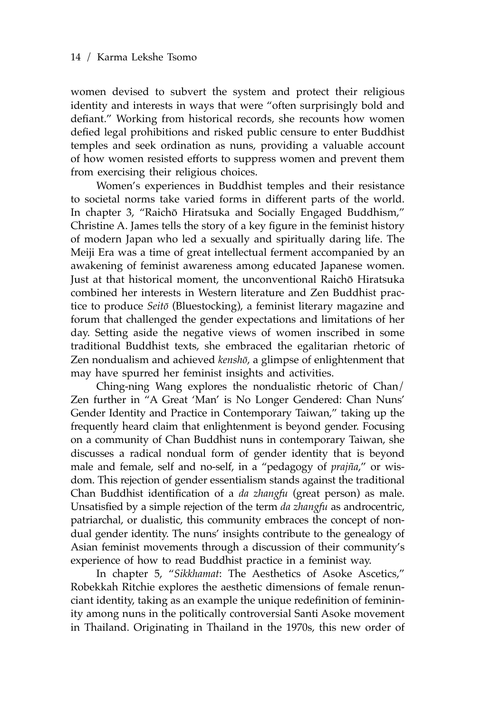women devised to subvert the system and protect their religious identity and interests in ways that were "often surprisingly bold and defiant." Working from historical records, she recounts how women defied legal prohibitions and risked public censure to enter Buddhist temples and seek ordination as nuns, providing a valuable account of how women resisted efforts to suppress women and prevent them from exercising their religious choices.

Women's experiences in Buddhist temples and their resistance to societal norms take varied forms in different parts of the world. In chapter 3, "Raichō Hiratsuka and Socially Engaged Buddhism," Christine A. James tells the story of a key figure in the feminist history of modern Japan who led a sexually and spiritually daring life. The Meiji Era was a time of great intellectual ferment accompanied by an awakening of feminist awareness among educated Japanese women. Just at that historical moment, the unconventional Raichō Hiratsuka combined her interests in Western literature and Zen Buddhist practice to produce *Seitō* (Bluestocking), a feminist literary magazine and forum that challenged the gender expectations and limitations of her day. Setting aside the negative views of women inscribed in some traditional Buddhist texts, she embraced the egalitarian rhetoric of Zen nondualism and achieved *kenshō*, a glimpse of enlightenment that may have spurred her feminist insights and activities.

Ching-ning Wang explores the nondualistic rhetoric of Chan/ Zen further in "A Great 'Man' is No Longer Gendered: Chan Nuns' Gender Identity and Practice in Contemporary Taiwan," taking up the frequently heard claim that enlightenment is beyond gender. Focusing on a community of Chan Buddhist nuns in contemporary Taiwan, she discusses a radical nondual form of gender identity that is beyond male and female, self and no-self, in a "pedagogy of *prajña*," or wisdom. This rejection of gender essentialism stands against the traditional Chan Buddhist identification of a *da zhangfu* (great person) as male. Unsatisfied by a simple rejection of the term *da zhangfu* as androcentric, patriarchal, or dualistic, this community embraces the concept of nondual gender identity. The nuns' insights contribute to the genealogy of Asian feminist movements through a discussion of their community's experience of how to read Buddhist practice in a feminist way.

In chapter 5, "Sikkhamat: The Aesthetics of Asoke Ascetics," Robekkah Ritchie explores the aesthetic dimensions of female renunciant identity, taking as an example the unique redefinition of femininity among nuns in the politically controversial Santi Asoke movement in Thailand. Originating in Thailand in the 1970s, this new order of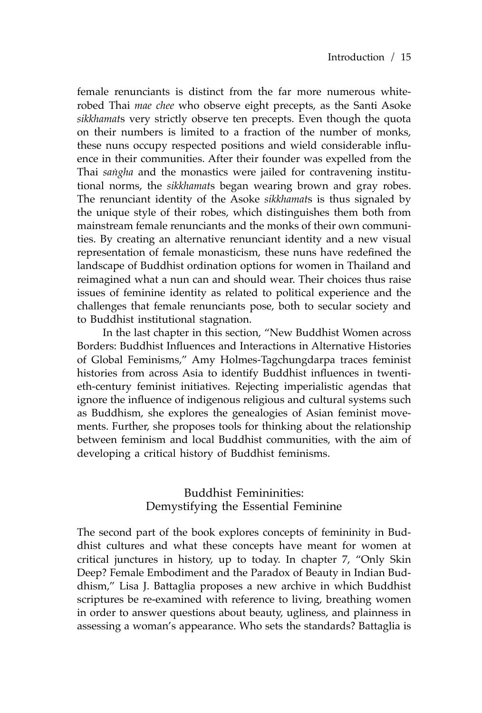female renunciants is distinct from the far more numerous whiterobed Thai *mae chee* who observe eight precepts, as the Santi Asoke sikkhamats very strictly observe ten precepts. Even though the quota on their numbers is limited to a fraction of the number of monks, these nuns occupy respected positions and wield considerable influence in their communities. After their founder was expelled from the Thai sangha and the monastics were jailed for contravening institutional norms, the *sikkhamats* began wearing brown and gray robes. The renunciant identity of the Asoke *sikkhamats* is thus signaled by the unique style of their robes, which distinguishes them both from mainstream female renunciants and the monks of their own communities. By creating an alternative renunciant identity and a new visual representation of female monasticism, these nuns have redefined the landscape of Buddhist ordination options for women in Thailand and reimagined what a nun can and should wear. Their choices thus raise issues of feminine identity as related to political experience and the challenges that female renunciants pose, both to secular society and to Buddhist institutional stagnation.

In the last chapter in this section, "New Buddhist Women across Borders: Buddhist Influences and Interactions in Alternative Histories of Global Feminisms," Amy Holmes-Tagchungdarpa traces feminist histories from across Asia to identify Buddhist influences in twentieth-century feminist initiatives. Rejecting imperialistic agendas that ignore the influence of indigenous religious and cultural systems such as Buddhism, she explores the genealogies of Asian feminist movements. Further, she proposes tools for thinking about the relationship between feminism and local Buddhist communities, with the aim of developing a critical history of Buddhist feminisms.

## Buddhist Femininities: Demystifying the Essential Feminine

The second part of the book explores concepts of femininity in Buddhist cultures and what these concepts have meant for women at critical junctures in history, up to today. In chapter 7, "Only Skin Deep? Female Embodiment and the Paradox of Beauty in Indian Buddhism," Lisa J. Battaglia proposes a new archive in which Buddhist scriptures be re-examined with reference to living, breathing women in order to answer questions about beauty, ugliness, and plainness in assessing a woman's appearance. Who sets the standards? Battaglia is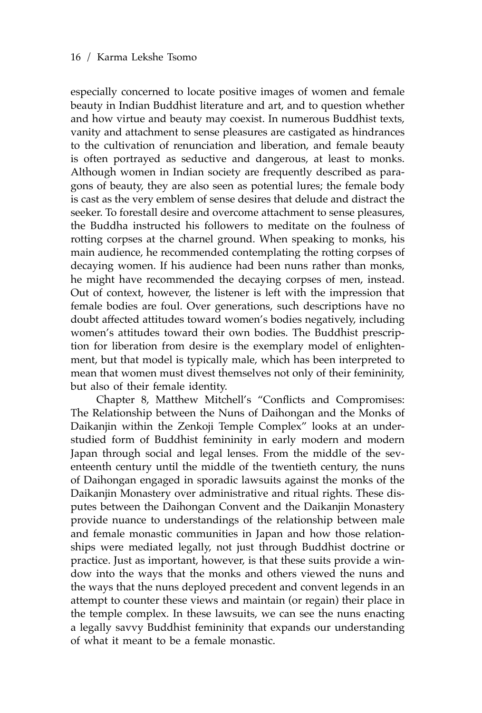especially concerned to locate positive images of women and female beauty in Indian Buddhist literature and art, and to question whether and how virtue and beauty may coexist. In numerous Buddhist texts, vanity and attachment to sense pleasures are castigated as hindrances to the cultivation of renunciation and liberation, and female beauty is often portrayed as seductive and dangerous, at least to monks. Although women in Indian society are frequently described as paragons of beauty, they are also seen as potential lures; the female body is cast as the very emblem of sense desires that delude and distract the seeker. To forestall desire and overcome attachment to sense pleasures, the Buddha instructed his followers to meditate on the foulness of rotting corpses at the charnel ground. When speaking to monks, his main audience, he recommended contemplating the rotting corpses of decaying women. If his audience had been nuns rather than monks, he might have recommended the decaying corpses of men, instead. Out of context, however, the listener is left with the impression that female bodies are foul. Over generations, such descriptions have no doubt affected attitudes toward women's bodies negatively, including women's attitudes toward their own bodies. The Buddhist prescription for liberation from desire is the exemplary model of enlightenment, but that model is typically male, which has been interpreted to mean that women must divest themselves not only of their femininity, but also of their female identity.

Chapter 8, Matthew Mitchell's "Conflicts and Compromises: The Relationship between the Nuns of Daihongan and the Monks of Daikanjin within the Zenkoji Temple Complex" looks at an understudied form of Buddhist femininity in early modern and modern Japan through social and legal lenses. From the middle of the seventeenth century until the middle of the twentieth century, the nuns of Daihongan engaged in sporadic lawsuits against the monks of the Daikanjin Monastery over administrative and ritual rights. These disputes between the Daihongan Convent and the Daikanjin Monastery provide nuance to understandings of the relationship between male and female monastic communities in Japan and how those relationships were mediated legally, not just through Buddhist doctrine or practice. Just as important, however, is that these suits provide a window into the ways that the monks and others viewed the nuns and the ways that the nuns deployed precedent and convent legends in an attempt to counter these views and maintain (or regain) their place in the temple complex. In these lawsuits, we can see the nuns enacting a legally savvy Buddhist femininity that expands our understanding of what it meant to be a female monastic.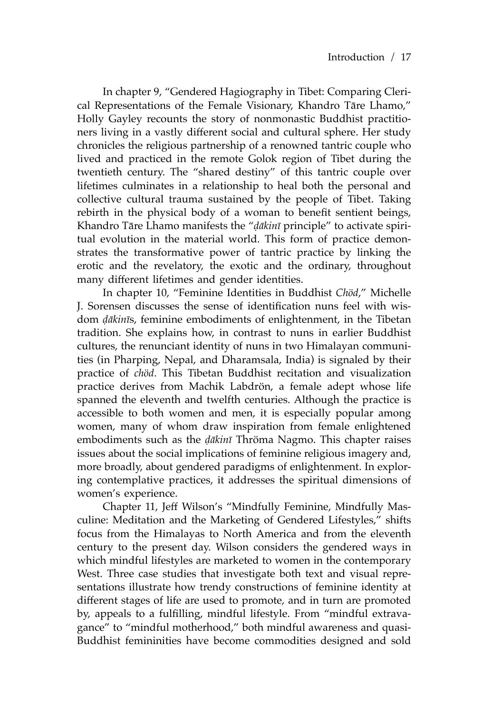In chapter 9, "Gendered Hagiography in Tibet: Comparing Clerical Representations of the Female Visionary, Khandro Tāre Lhamo," Holly Gayley recounts the story of nonmonastic Buddhist practitioners living in a vastly different social and cultural sphere. Her study chronicles the religious partnership of a renowned tantric couple who lived and practiced in the remote Golok region of Tibet during the twentieth century. The "shared destiny" of this tantric couple over lifetimes culminates in a relationship to heal both the personal and collective cultural trauma sustained by the people of Tibet. Taking rebirth in the physical body of a woman to benefit sentient beings, Khandro Tāre Lhamo manifests the "dākinī principle" to activate spiritual evolution in the material world. This form of practice demonstrates the transformative power of tantric practice by linking the erotic and the revelatory, the exotic and the ordinary, throughout many different lifetimes and gender identities.

In chapter 10, "Feminine Identities in Buddhist Chöd," Michelle J. Sorensen discusses the sense of identification nuns feel with wisdom *dakinas*, feminine embodiments of enlightenment, in the Tibetan tradition. She explains how, in contrast to nuns in earlier Buddhist cultures, the renunciant identity of nuns in two Himalayan communities (in Pharping, Nepal, and Dharamsala, India) is signaled by their practice of chöd. This Tibetan Buddhist recitation and visualization practice derives from Machik Labdrön, a female adept whose life spanned the eleventh and twelfth centuries. Although the practice is accessible to both women and men, it is especially popular among women, many of whom draw inspiration from female enlightened embodiments such as the *dākinī* Thröma Nagmo. This chapter raises issues about the social implications of feminine religious imagery and, more broadly, about gendered paradigms of enlightenment. In exploring contemplative practices, it addresses the spiritual dimensions of women's experience.

Chapter 11, Jeff Wilson's "Mindfully Feminine, Mindfully Masculine: Meditation and the Marketing of Gendered Lifestyles," shifts focus from the Himalayas to North America and from the eleventh century to the present day. Wilson considers the gendered ways in which mindful lifestyles are marketed to women in the contemporary West. Three case studies that investigate both text and visual representations illustrate how trendy constructions of feminine identity at different stages of life are used to promote, and in turn are promoted by, appeals to a fulfilling, mindful lifestyle. From "mindful extravagance" to "mindful motherhood," both mindful awareness and quasi-Buddhist femininities have become commodities designed and sold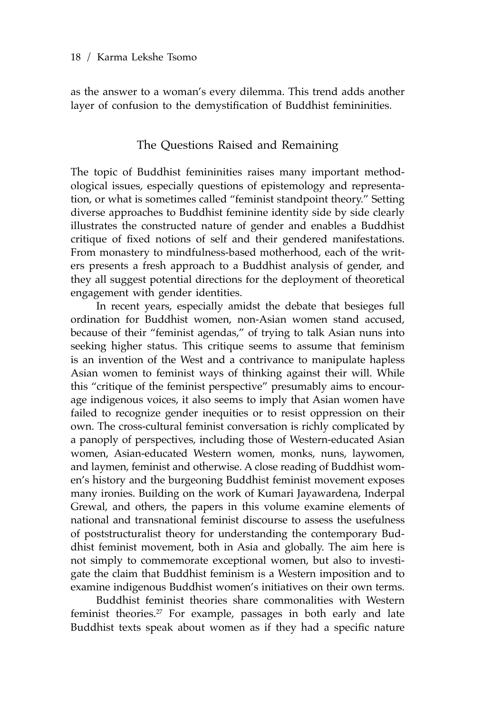as the answer to a woman's every dilemma. This trend adds another layer of confusion to the demystification of Buddhist femininities.

### The Questions Raised and Remaining

The topic of Buddhist femininities raises many important methodological issues, especially questions of epistemology and representation, or what is sometimes called "feminist standpoint theory." Setting diverse approaches to Buddhist feminine identity side by side clearly illustrates the constructed nature of gender and enables a Buddhist critique of fixed notions of self and their gendered manifestations. From monastery to mindfulness-based motherhood, each of the writers presents a fresh approach to a Buddhist analysis of gender, and they all suggest potential directions for the deployment of theoretical engagement with gender identities.

In recent years, especially amidst the debate that besieges full ordination for Buddhist women, non-Asian women stand accused, because of their "feminist agendas," of trying to talk Asian nuns into seeking higher status. This critique seems to assume that feminism is an invention of the West and a contrivance to manipulate hapless Asian women to feminist ways of thinking against their will. While this "critique of the feminist perspective" presumably aims to encourage indigenous voices, it also seems to imply that Asian women have failed to recognize gender inequities or to resist oppression on their own. The cross-cultural feminist conversation is richly complicated by a panoply of perspectives, including those of Western-educated Asian women, Asian-educated Western women, monks, nuns, laywomen, and laymen, feminist and otherwise. A close reading of Buddhist women's history and the burgeoning Buddhist feminist movement exposes many ironies. Building on the work of Kumari Jayawardena, Inderpal Grewal, and others, the papers in this volume examine elements of national and transnational feminist discourse to assess the usefulness of poststructuralist theory for understanding the contemporary Buddhist feminist movement, both in Asia and globally. The aim here is not simply to commemorate exceptional women, but also to investigate the claim that Buddhist feminism is a Western imposition and to examine indigenous Buddhist women's initiatives on their own terms.

Buddhist feminist theories share commonalities with Western feminist theories.<sup>27</sup> For example, passages in both early and late Buddhist texts speak about women as if they had a specific nature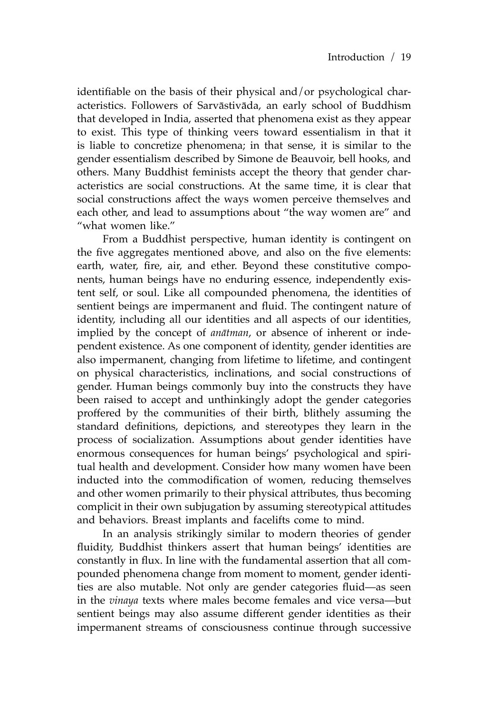identifiable on the basis of their physical and/or psychological characteristics. Followers of Sarvāstivāda, an early school of Buddhism that developed in India, asserted that phenomena exist as they appear to exist. This type of thinking veers toward essentialism in that it is liable to concretize phenomena; in that sense, it is similar to the gender essentialism described by Simone de Beauvoir, bell hooks, and others. Many Buddhist feminists accept the theory that gender characteristics are social constructions. At the same time, it is clear that social constructions affect the ways women perceive themselves and each other, and lead to assumptions about "the way women are" and "what women like."

From a Buddhist perspective, human identity is contingent on the five aggregates mentioned above, and also on the five elements: earth, water, fire, air, and ether. Beyond these constitutive components, human beings have no enduring essence, independently existent self, or soul. Like all compounded phenomena, the identities of sentient beings are impermanent and fluid. The contingent nature of identity, including all our identities and all aspects of our identities, implied by the concept of *anātman*, or absence of inherent or independent existence. As one component of identity, gender identities are also impermanent, changing from lifetime to lifetime, and contingent on physical characteristics, inclinations, and social constructions of gender. Human beings commonly buy into the constructs they have been raised to accept and unthinkingly adopt the gender categories proffered by the communities of their birth, blithely assuming the standard definitions, depictions, and stereotypes they learn in the process of socialization. Assumptions about gender identities have enormous consequences for human beings' psychological and spiritual health and development. Consider how many women have been inducted into the commodification of women, reducing themselves and other women primarily to their physical attributes, thus becoming complicit in their own subjugation by assuming stereotypical attitudes and behaviors. Breast implants and facelifts come to mind.

In an analysis strikingly similar to modern theories of gender fluidity, Buddhist thinkers assert that human beings' identities are constantly in flux. In line with the fundamental assertion that all compounded phenomena change from moment to moment, gender identities are also mutable. Not only are gender categories fluid—as seen in the *vinaya* texts where males become females and vice versa—but sentient beings may also assume different gender identities as their impermanent streams of consciousness continue through successive